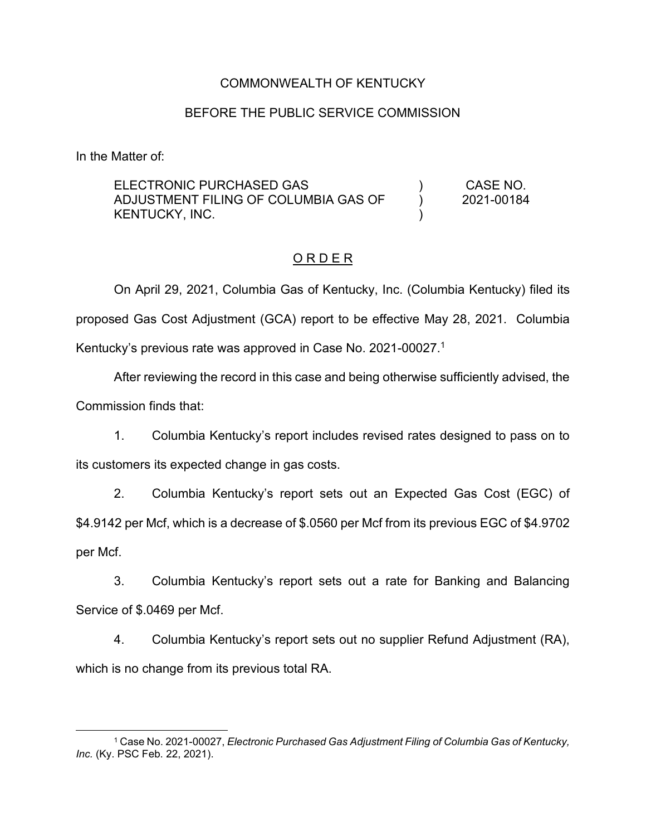# COMMONWEALTH OF KENTUCKY

### BEFORE THE PUBLIC SERVICE COMMISSION

In the Matter of:

ELECTRONIC PURCHASED GAS ADJUSTMENT FILING OF COLUMBIA GAS OF KENTUCKY, INC. ) ) ) CASE NO. 2021-00184

#### O R D E R

On April 29, 2021, Columbia Gas of Kentucky, Inc. (Columbia Kentucky) filed its proposed Gas Cost Adjustment (GCA) report to be effective May 28, 2021. Columbia Kentucky's previous rate was approved in Case No. 2021-00027. 1

After reviewing the record in this case and being otherwise sufficiently advised, the Commission finds that:

1. Columbia Kentucky's report includes revised rates designed to pass on to its customers its expected change in gas costs.

2. Columbia Kentucky's report sets out an Expected Gas Cost (EGC) of \$4.9142 per Mcf, which is a decrease of \$.0560 per Mcf from its previous EGC of \$4.9702 per Mcf.

3. Columbia Kentucky's report sets out a rate for Banking and Balancing Service of \$.0469 per Mcf.

4. Columbia Kentucky's report sets out no supplier Refund Adjustment (RA), which is no change from its previous total RA.

<sup>1</sup> Case No. 2021-00027, *Electronic Purchased Gas Adjustment Filing of Columbia Gas of Kentucky, Inc.* (Ky. PSC Feb. 22, 2021).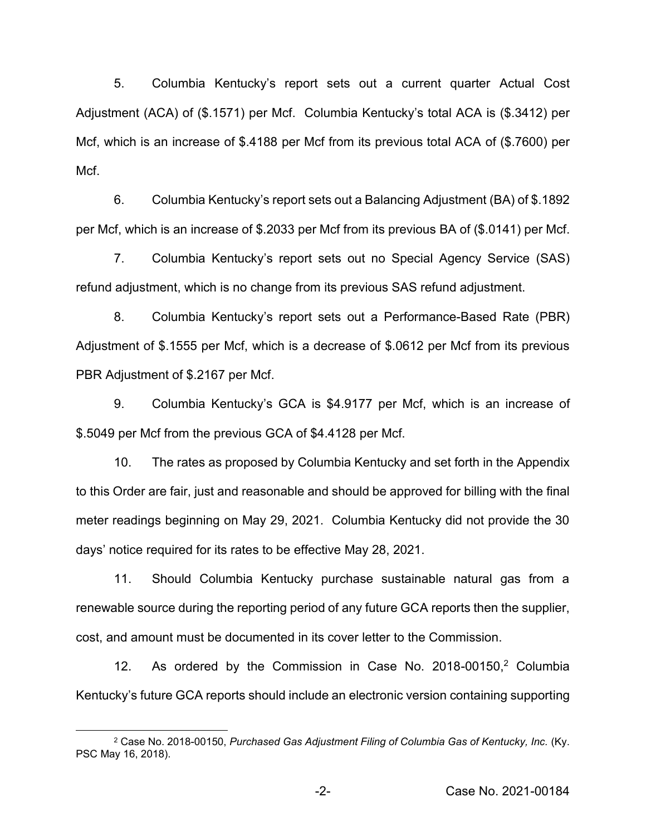5. Columbia Kentucky's report sets out a current quarter Actual Cost Adjustment (ACA) of (\$.1571) per Mcf. Columbia Kentucky's total ACA is (\$.3412) per Mcf, which is an increase of \$.4188 per Mcf from its previous total ACA of (\$.7600) per Mcf.

6. Columbia Kentucky's report sets out a Balancing Adjustment (BA) of \$.1892 per Mcf, which is an increase of \$.2033 per Mcf from its previous BA of (\$.0141) per Mcf.

7. Columbia Kentucky's report sets out no Special Agency Service (SAS) refund adjustment, which is no change from its previous SAS refund adjustment.

8. Columbia Kentucky's report sets out a Performance-Based Rate (PBR) Adjustment of \$.1555 per Mcf, which is a decrease of \$.0612 per Mcf from its previous PBR Adjustment of \$.2167 per Mcf.

9. Columbia Kentucky's GCA is \$4.9177 per Mcf, which is an increase of \$.5049 per Mcf from the previous GCA of \$4.4128 per Mcf.

10. The rates as proposed by Columbia Kentucky and set forth in the Appendix to this Order are fair, just and reasonable and should be approved for billing with the final meter readings beginning on May 29, 2021. Columbia Kentucky did not provide the 30 days' notice required for its rates to be effective May 28, 2021.

11. Should Columbia Kentucky purchase sustainable natural gas from a renewable source during the reporting period of any future GCA reports then the supplier, cost, and amount must be documented in its cover letter to the Commission.

12. As ordered by the Commission in Case No. 2018-00150, <sup>2</sup> Columbia Kentucky's future GCA reports should include an electronic version containing supporting

<sup>&</sup>lt;sup>2</sup> Case No. 2018-00150, *Purchased Gas Adjustment Filing of Columbia Gas of Kentucky, Inc. (Ky.* PSC May 16, 2018).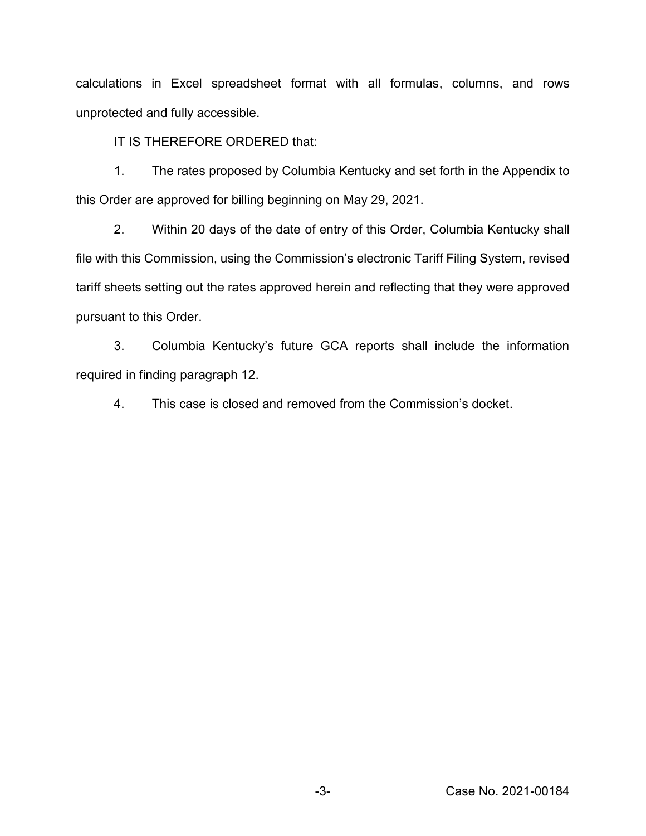calculations in Excel spreadsheet format with all formulas, columns, and rows unprotected and fully accessible.

IT IS THEREFORE ORDERED that:

1. The rates proposed by Columbia Kentucky and set forth in the Appendix to this Order are approved for billing beginning on May 29, 2021.

2. Within 20 days of the date of entry of this Order, Columbia Kentucky shall file with this Commission, using the Commission's electronic Tariff Filing System, revised tariff sheets setting out the rates approved herein and reflecting that they were approved pursuant to this Order.

3. Columbia Kentucky's future GCA reports shall include the information required in finding paragraph 12.

4. This case is closed and removed from the Commission's docket.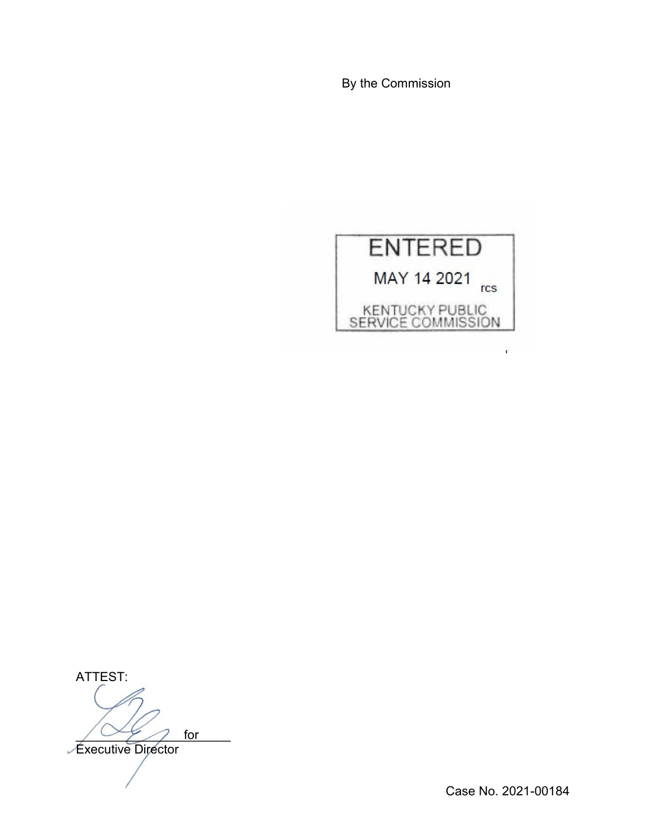By the Commission



ATTEST:  $\sqrt{2\pi}$  for Executive Director for

Case No. 2021-00184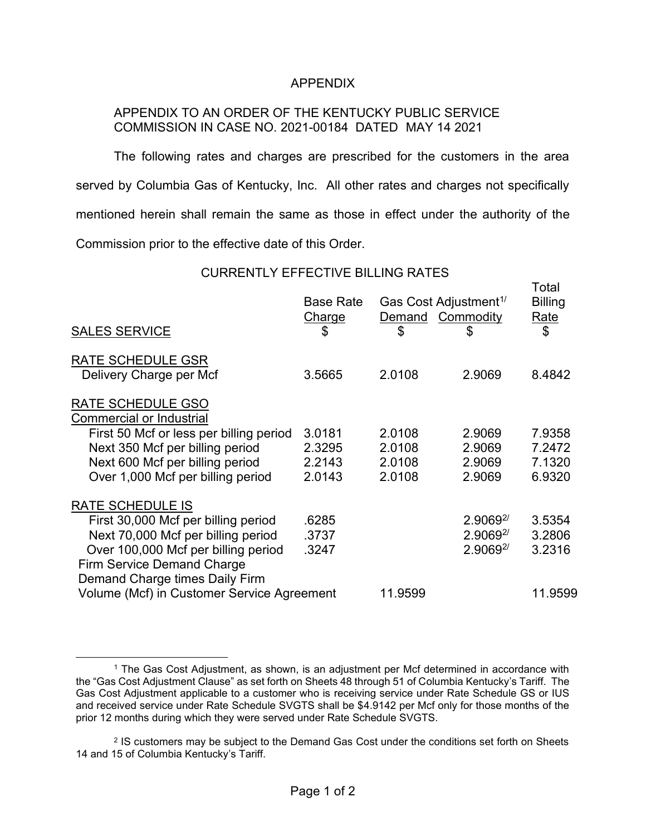# APPENDIX

# APPENDIX TO AN ORDER OF THE KENTUCKY PUBLIC SERVICE COMMISSION IN CASE NO. 2021-00184 DATED MAY 14 2021

The following rates and charges are prescribed for the customers in the area served by Columbia Gas of Kentucky, Inc. All other rates and charges not specifically mentioned herein shall remain the same as those in effect under the authority of the Commission prior to the effective date of this Order.

#### CURRENTLY EFFECTIVE BILLING RATES

Total

| <b>SALES SERVICE</b>                                                                                | <b>Base Rate</b><br><b>Charge</b><br>\$ | Gas Cost Adjustment <sup>1/</sup><br>Demand Commodity<br>\$ | \$             | Tolai<br><b>Billing</b><br><u>Rate</u><br>\$ |
|-----------------------------------------------------------------------------------------------------|-----------------------------------------|-------------------------------------------------------------|----------------|----------------------------------------------|
| <b>RATE SCHEDULE GSR</b>                                                                            |                                         |                                                             |                |                                              |
| Delivery Charge per Mcf                                                                             | 3.5665                                  | 2.0108                                                      | 2.9069         | 8.4842                                       |
| RATE SCHEDULE GSO<br><b>Commercial or Industrial</b>                                                |                                         |                                                             |                |                                              |
| First 50 Mcf or less per billing period                                                             | 3.0181                                  | 2.0108                                                      | 2.9069         | 7.9358                                       |
| Next 350 Mcf per billing period                                                                     | 2.3295                                  | 2.0108                                                      | 2.9069         | 7.2472                                       |
| Next 600 Mcf per billing period                                                                     | 2.2143                                  | 2.0108                                                      | 2.9069         | 7.1320                                       |
| Over 1,000 Mcf per billing period                                                                   | 2.0143                                  | 2.0108                                                      | 2.9069         | 6.9320                                       |
| <b>RATE SCHEDULE IS</b>                                                                             |                                         |                                                             |                |                                              |
| First 30,000 Mcf per billing period                                                                 | .6285                                   |                                                             | $2.9069^{2/3}$ | 3.5354                                       |
| Next 70,000 Mcf per billing period                                                                  | .3737                                   |                                                             | $2.9069^{2/3}$ | 3.2806                                       |
| Over 100,000 Mcf per billing period<br>Firm Service Demand Charge<br>Demand Charge times Daily Firm | .3247                                   |                                                             | $2.9069^{2/3}$ | 3.2316                                       |
| Volume (Mcf) in Customer Service Agreement                                                          |                                         | 11.9599                                                     |                | 11.9599                                      |
|                                                                                                     |                                         |                                                             |                |                                              |

<sup>1</sup> The Gas Cost Adjustment, as shown, is an adjustment per Mcf determined in accordance with the "Gas Cost Adjustment Clause" as set forth on Sheets 48 through 51 of Columbia Kentucky's Tariff. The Gas Cost Adjustment applicable to a customer who is receiving service under Rate Schedule GS or IUS and received service under Rate Schedule SVGTS shall be \$4.9142 per Mcf only for those months of the prior 12 months during which they were served under Rate Schedule SVGTS.

<sup>2</sup> IS customers may be subject to the Demand Gas Cost under the conditions set forth on Sheets 14 and 15 of Columbia Kentucky's Tariff.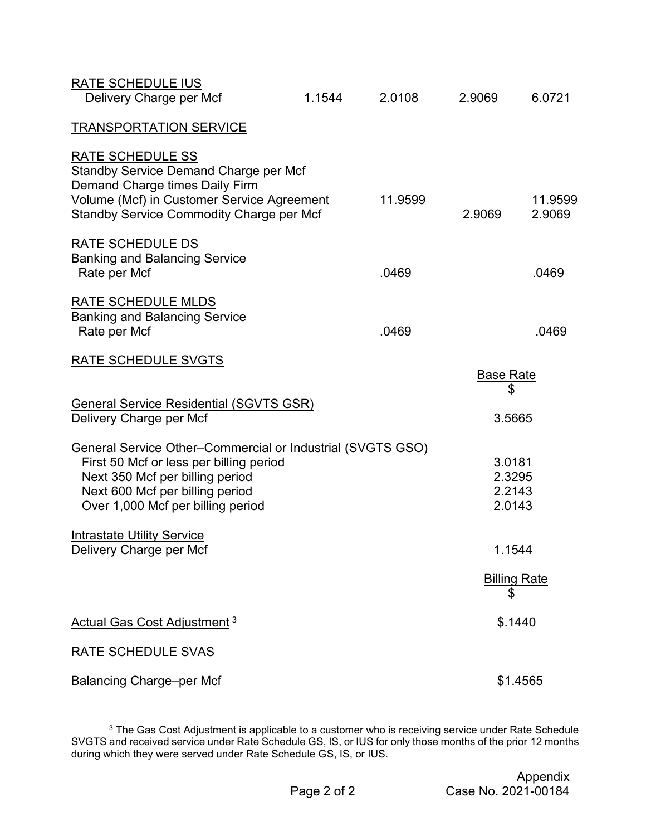| <b>RATE SCHEDULE IUS</b><br>Delivery Charge per Mcf                                                                                                                                                              | 1.1544 | 2.0108  | 2.9069                               | 6.0721              |
|------------------------------------------------------------------------------------------------------------------------------------------------------------------------------------------------------------------|--------|---------|--------------------------------------|---------------------|
| <b>TRANSPORTATION SERVICE</b>                                                                                                                                                                                    |        |         |                                      |                     |
| <b>RATE SCHEDULE SS</b><br>Standby Service Demand Charge per Mcf<br>Demand Charge times Daily Firm<br>Volume (Mcf) in Customer Service Agreement<br>Standby Service Commodity Charge per Mcf                     |        | 11.9599 | 2.9069                               | 11.9599<br>2.9069   |
| <b>RATE SCHEDULE DS</b><br><b>Banking and Balancing Service</b><br>Rate per Mcf                                                                                                                                  |        | .0469   |                                      | .0469               |
| RATE SCHEDULE MLDS<br><b>Banking and Balancing Service</b><br>Rate per Mcf                                                                                                                                       |        | .0469   |                                      | .0469               |
| RATE SCHEDULE SVGTS                                                                                                                                                                                              |        |         | <b>Base Rate</b>                     |                     |
|                                                                                                                                                                                                                  |        |         | \$                                   |                     |
| General Service Residential (SGVTS GSR)<br>Delivery Charge per Mcf                                                                                                                                               |        |         | 3.5665                               |                     |
| General Service Other-Commercial or Industrial (SVGTS GSO)<br>First 50 Mcf or less per billing period<br>Next 350 Mcf per billing period<br>Next 600 Mcf per billing period<br>Over 1,000 Mcf per billing period |        |         | 3.0181<br>2.3295<br>2.2143<br>2.0143 |                     |
| <b>Intrastate Utility Service</b><br>Delivery Charge per Mcf                                                                                                                                                     |        |         | 1.1544                               |                     |
|                                                                                                                                                                                                                  |        |         | \$                                   | <b>Billing Rate</b> |
| Actual Gas Cost Adjustment <sup>3</sup>                                                                                                                                                                          |        |         |                                      | \$.1440             |
| <b>RATE SCHEDULE SVAS</b>                                                                                                                                                                                        |        |         |                                      |                     |
| <b>Balancing Charge-per Mcf</b>                                                                                                                                                                                  |        |         |                                      | \$1.4565            |

 $^3$  The Gas Cost Adjustment is applicable to a customer who is receiving service under Rate Schedule SVGTS and received service under Rate Schedule GS, IS, or IUS for only those months of the prior 12 months during which they were served under Rate Schedule GS, IS, or IUS.